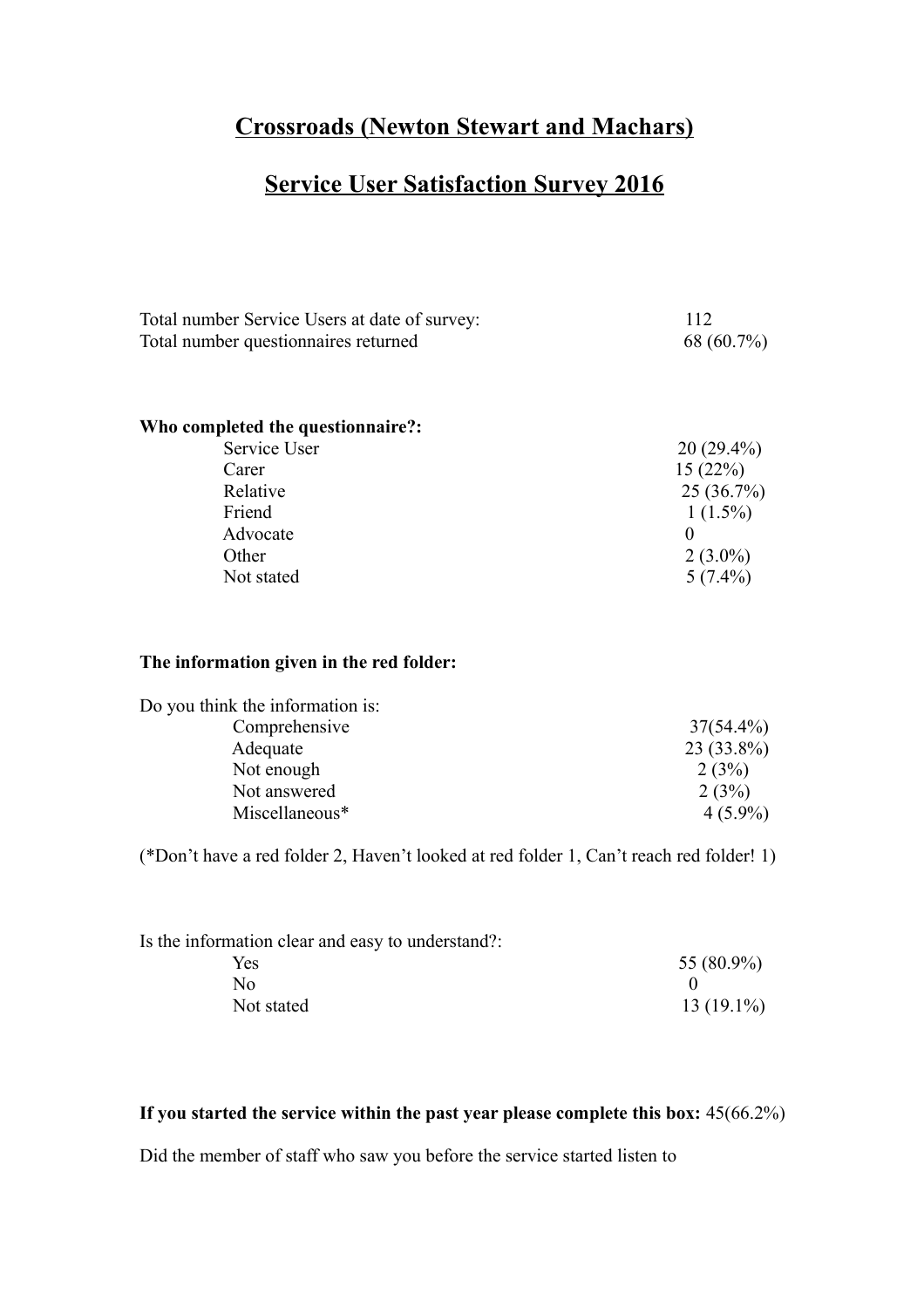## **Crossroads (Newton Stewart and Machars)**

# **Service User Satisfaction Survey 2016**

| Total number Service Users at date of survey: | 112          |
|-----------------------------------------------|--------------|
| Total number questionnaires returned          | 68 (60.7%)   |
|                                               |              |
|                                               |              |
| Who completed the questionnaire?:             |              |
| Service User                                  | $20(29.4\%)$ |
| Carer                                         | 15(22%)      |
| Relative                                      | 25(36.7%)    |
| Friend                                        | $1(1.5\%)$   |
| Advocate                                      | $\Omega$     |
| Other                                         | $2(3.0\%)$   |
| Not stated                                    | $5(7.4\%)$   |
|                                               |              |
|                                               |              |
| The information given in the red folder:      |              |
| Do you think the information is:              |              |

| Comprehensive  | $37(54.4\%)$ |
|----------------|--------------|
| Adequate       | $23(33.8\%)$ |
| Not enough     | 2(3%)        |
| Not answered   | 2(3%)        |
| Miscellaneous* | $4(5.9\%)$   |

(\*Don't have a red folder 2, Haven't looked at red folder 1, Can't reach red folder! 1)

| Is the information clear and easy to understand?: |              |
|---------------------------------------------------|--------------|
| Yes                                               | $55(80.9\%)$ |
| N٥                                                |              |
| Not stated                                        | $13(19.1\%)$ |

### **If you started the service within the past year please complete this box:** 45(66.2%)

Did the member of staff who saw you before the service started listen to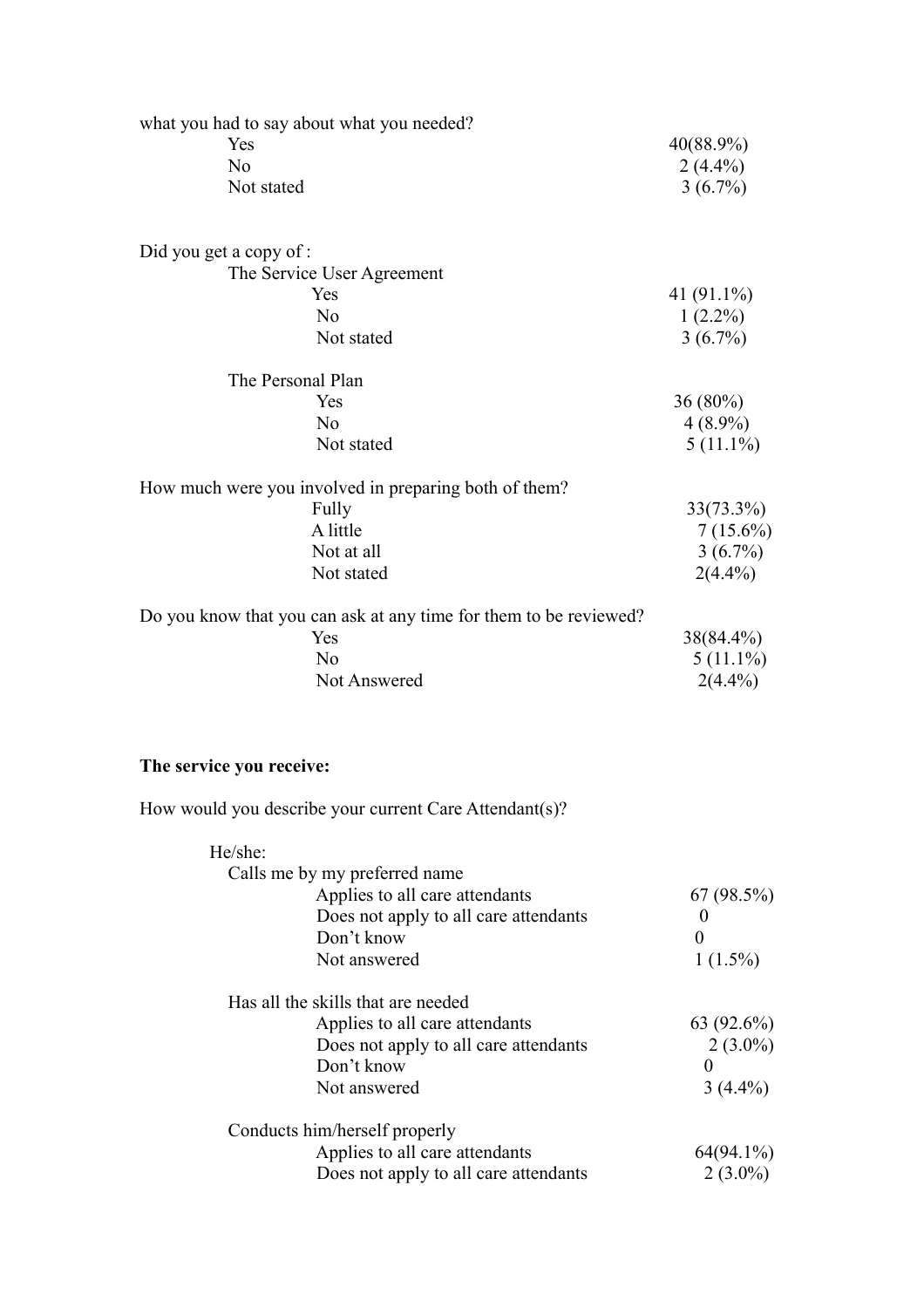| what you had to say about what you needed?                        |             |
|-------------------------------------------------------------------|-------------|
| Yes                                                               | 40(88.9%)   |
| N <sub>o</sub>                                                    | $2(4.4\%)$  |
| Not stated                                                        | $3(6.7\%)$  |
| Did you get a copy of :                                           |             |
| The Service User Agreement                                        |             |
| Yes                                                               | 41 (91.1%)  |
| N <sub>o</sub>                                                    | $1(2.2\%)$  |
| Not stated                                                        | $3(6.7\%)$  |
| The Personal Plan                                                 |             |
| Yes                                                               | 36 (80%)    |
| N <sub>o</sub>                                                    | $4(8.9\%)$  |
| Not stated                                                        | $5(11.1\%)$ |
| How much were you involved in preparing both of them?             |             |
| Fully                                                             | 33(73.3%)   |
| A little                                                          | $7(15.6\%)$ |
| Not at all                                                        | $3(6.7\%)$  |
| Not stated                                                        | $2(4.4\%)$  |
| Do you know that you can ask at any time for them to be reviewed? |             |
| Yes                                                               | 38(84.4%)   |
| No                                                                | $5(11.1\%)$ |
| Not Answered                                                      | $2(4.4\%)$  |
|                                                                   |             |
| The service you receive:                                          |             |
| How would you describe your current Care Attendant(s)?            |             |
| He/she:                                                           |             |
| Calls me by my preferred name                                     |             |

| Calls the by my preferred hanne       |              |
|---------------------------------------|--------------|
| Applies to all care attendants        | 67(98.5%)    |
| Does not apply to all care attendants |              |
| Don't know                            | 0            |
| Not answered                          | $1(1.5\%)$   |
| Has all the skills that are needed    |              |
| Applies to all care attendants        | $63(92.6\%)$ |
| Does not apply to all care attendants | $2(3.0\%)$   |
| Don't know                            | 0            |
| Not answered                          | $3(4.4\%)$   |
| Conducts him/herself properly         |              |
| Applies to all care attendants        | $64(94.1\%)$ |
| Does not apply to all care attendants | $2(3.0\%)$   |
|                                       |              |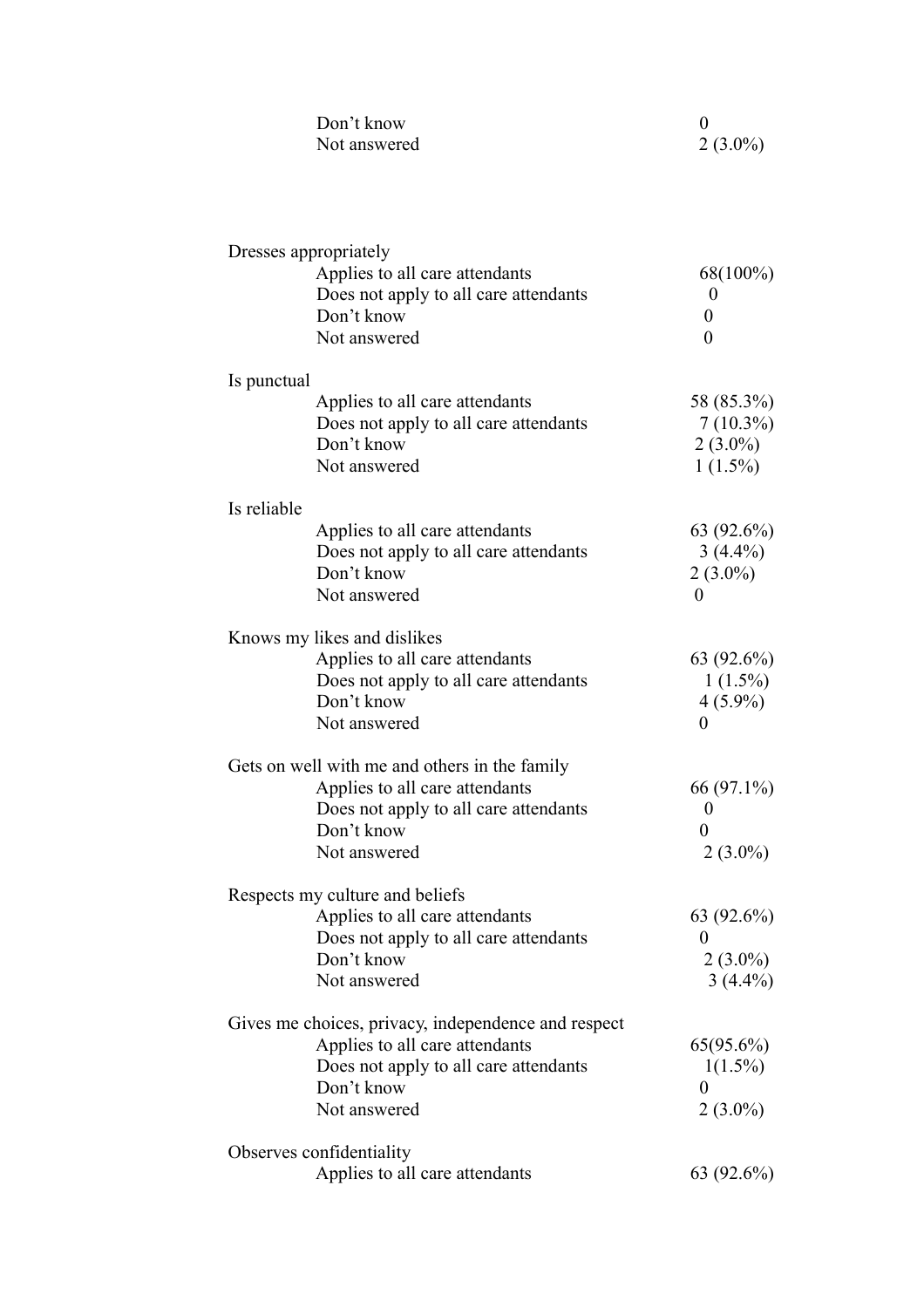| Don't know   |            |
|--------------|------------|
| Not answered | $2(3.0\%)$ |

|             | Dresses appropriately                               |                  |
|-------------|-----------------------------------------------------|------------------|
|             | Applies to all care attendants                      | 68(100%)         |
|             | Does not apply to all care attendants               | $\boldsymbol{0}$ |
|             | Don't know                                          | $\boldsymbol{0}$ |
|             | Not answered                                        | $\overline{0}$   |
| Is punctual |                                                     |                  |
|             | Applies to all care attendants                      | 58 (85.3%)       |
|             | Does not apply to all care attendants               | $7(10.3\%)$      |
|             | Don't know                                          | $2(3.0\%)$       |
|             | Not answered                                        | $1(1.5\%)$       |
| Is reliable |                                                     |                  |
|             | Applies to all care attendants                      | $63(92.6\%)$     |
|             | Does not apply to all care attendants               | $3(4.4\%)$       |
|             | Don't know                                          | $2(3.0\%)$       |
|             | Not answered                                        | $\theta$         |
|             | Knows my likes and dislikes                         |                  |
|             | Applies to all care attendants                      | $63(92.6\%)$     |
|             | Does not apply to all care attendants               | $1(1.5\%)$       |
|             | Don't know                                          | $4(5.9\%)$       |
|             | Not answered                                        | $\theta$         |
|             | Gets on well with me and others in the family       |                  |
|             | Applies to all care attendants                      | 66 (97.1%)       |
|             | Does not apply to all care attendants               | $\boldsymbol{0}$ |
|             | Don't know                                          | $\theta$         |
|             | Not answered                                        | $2(3.0\%)$       |
|             | Respects my culture and beliefs                     |                  |
|             | Applies to all care attendants                      | $63(92.6\%)$     |
|             | Does not apply to all care attendants               | U                |
|             | Don't know                                          | $2(3.0\%)$       |
|             | Not answered                                        | $3(4.4\%)$       |
|             | Gives me choices, privacy, independence and respect |                  |
|             | Applies to all care attendants                      | 65(95.6%)        |
|             | Does not apply to all care attendants               | $1(1.5\%)$       |
|             | Don't know                                          | $\theta$         |
|             | Not answered                                        | $2(3.0\%)$       |
|             | Observes confidentiality                            |                  |
|             | Applies to all care attendants                      | 63 (92.6%)       |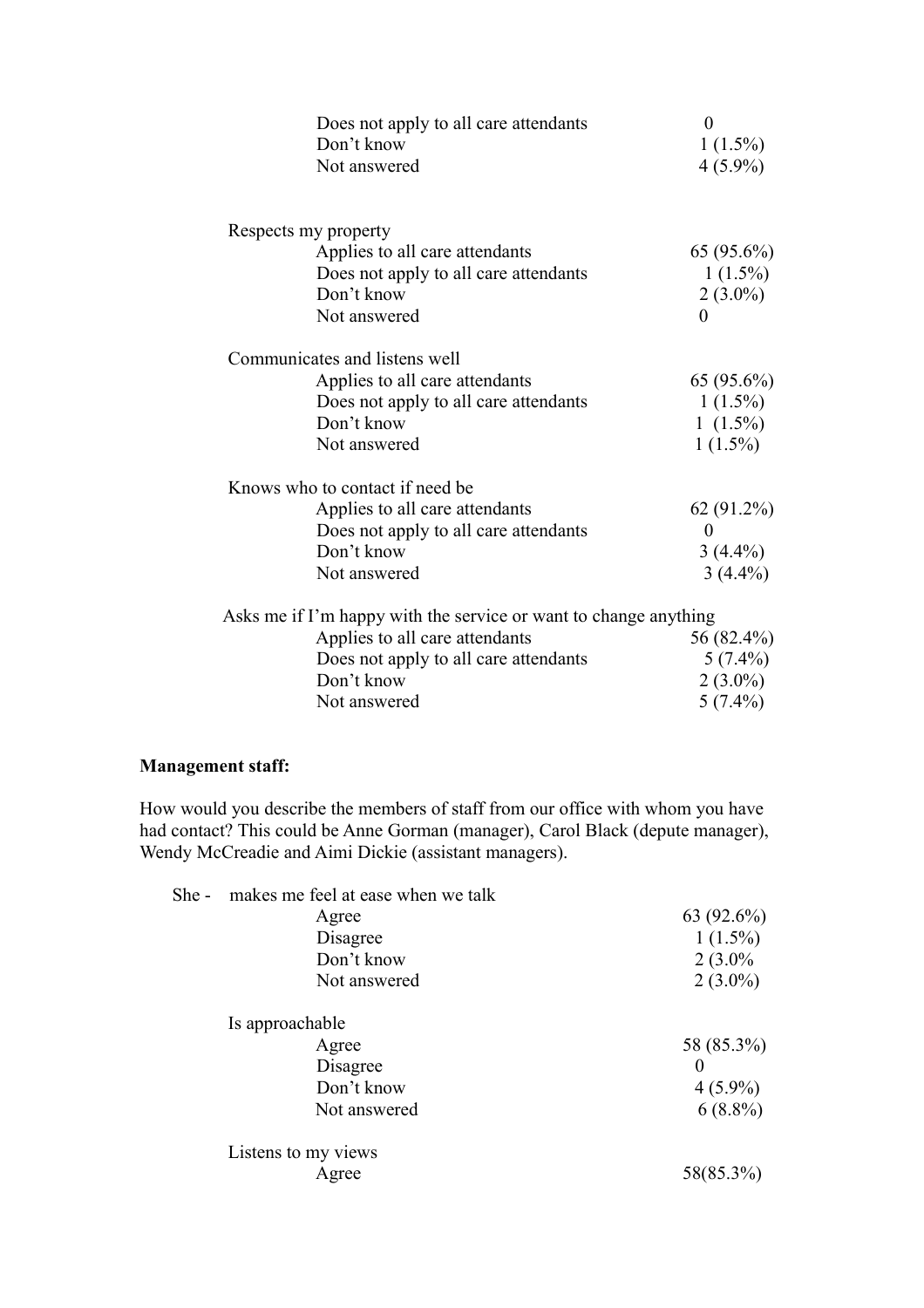| Does not apply to all care attendants<br>Don't know              | $\theta$<br>$1(1.5\%)$ |
|------------------------------------------------------------------|------------------------|
| Not answered                                                     | $4(5.9\%)$             |
| Respects my property                                             |                        |
| Applies to all care attendants                                   | $65(95.6\%)$           |
| Does not apply to all care attendants                            | $1(1.5\%)$             |
| Don't know                                                       | $2(3.0\%)$             |
| Not answered                                                     | $\theta$               |
| Communicates and listens well                                    |                        |
| Applies to all care attendants                                   | $65(95.6\%)$           |
| Does not apply to all care attendants                            | $1(1.5\%)$             |
| Don't know                                                       | $1(1.5\%)$             |
| Not answered                                                     | $1(1.5\%)$             |
| Knows who to contact if need be.                                 |                        |
| Applies to all care attendants                                   | 62 (91.2%)             |
| Does not apply to all care attendants                            | $\theta$               |
| Don't know                                                       | $3(4.4\%)$             |
| Not answered                                                     | $3(4.4\%)$             |
| Asks me if I'm happy with the service or want to change anything |                        |
| Applies to all care attendants                                   | 56 (82.4%)             |
| Does not apply to all care attendants                            | $5(7.4\%)$             |
| Don't know                                                       | $2(3.0\%)$             |
| Not answered                                                     | $5(7.4\%)$             |

## **Management staff:**

How would you describe the members of staff from our office with whom you have had contact? This could be Anne Gorman (manager), Carol Black (depute manager), Wendy McCreadie and Aimi Dickie (assistant managers).

| She - | makes me feel at ease when we talk |            |
|-------|------------------------------------|------------|
|       | Agree                              | 63 (92.6%) |
|       | Disagree                           | $1(1.5\%)$ |
|       | Don't know                         | $2(3.0\%$  |
|       | Not answered                       | $2(3.0\%)$ |
|       | Is approachable                    |            |
|       | Agree                              | 58 (85.3%) |
|       | Disagree                           | $\theta$   |
|       | Don't know                         | $4(5.9\%)$ |
|       | Not answered                       | $6(8.8\%)$ |
|       | Listens to my views                |            |
|       | Agree                              | 58(85.3%)  |
|       |                                    |            |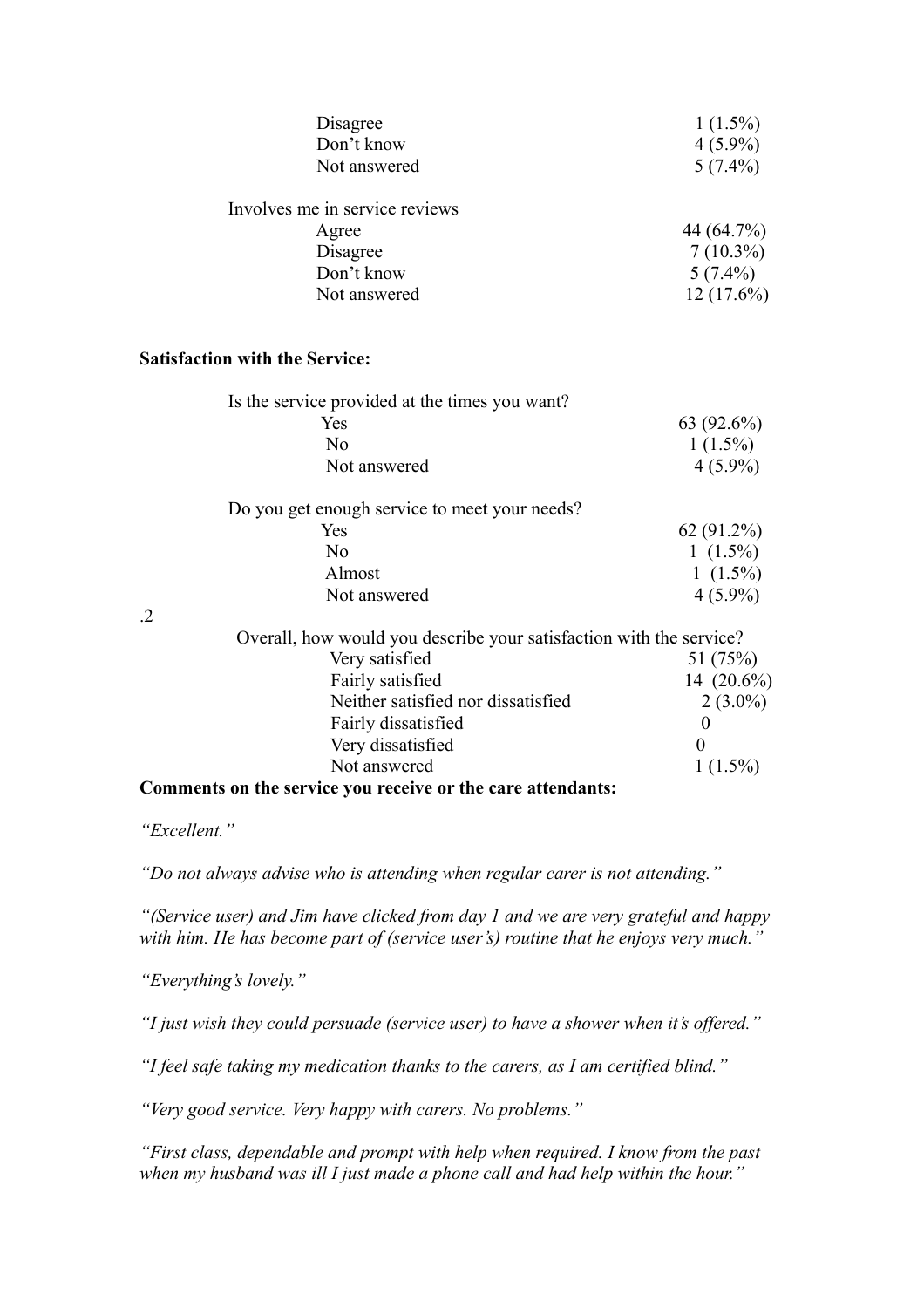| Disagree                       | $1(1.5\%)$   |
|--------------------------------|--------------|
| Don't know                     | $4(5.9\%)$   |
| Not answered                   | $5(7.4\%)$   |
| Involves me in service reviews |              |
| Agree                          | 44 (64.7%)   |
| Disagree                       | $7(10.3\%)$  |
| Don't know                     | $5(7.4\%)$   |
| Not answered                   | $12(17.6\%)$ |

#### **Satisfaction with the Service:**

|    | Is the service provided at the times you want?                      |                       |
|----|---------------------------------------------------------------------|-----------------------|
|    | Yes.                                                                | 63(92.6%)             |
|    | No                                                                  | $1(1.5\%)$            |
|    | Not answered                                                        | $4(5.9\%)$            |
|    | Do you get enough service to meet your needs?                       |                       |
|    | <b>Yes</b>                                                          | $62(91.2\%)$          |
|    | No                                                                  | 1 $(1.5\%)$           |
|    | Almost                                                              | 1 $(1.5\%)$           |
|    | Not answered                                                        | $4(5.9\%)$            |
| .2 |                                                                     |                       |
|    | Overall, how would you describe your satisfaction with the service? |                       |
|    | Vory coticfied                                                      | 51 (750 $\triangle$ ) |

.2

| Overall, how would you describe your satisfaction with the service? |               |
|---------------------------------------------------------------------|---------------|
| Very satisfied                                                      | 51 (75%)      |
| Fairly satisfied                                                    | 14 $(20.6\%)$ |
| Neither satisfied nor dissatisfied                                  | $2(3.0\%)$    |
| Fairly dissatisfied                                                 |               |
| Very dissatisfied                                                   |               |
| Not answered                                                        | $1(1.5\%)$    |
| Comments on the service year receive or the care of tendents.       |               |

### **Comments on the service you receive or the care attendants:**

*"Excellent."*

*"Do not always advise who is attending when regular carer is not attending."*

*"(Service user) and Jim have clicked from day 1 and we are very grateful and happy with him. He has become part of (service user's) routine that he enjoys very much."*

*"Everything's lovely."*

*"I just wish they could persuade (service user) to have a shower when it's offered."*

*"I feel safe taking my medication thanks to the carers, as I am certified blind."*

*"Very good service. Very happy with carers. No problems."*

*"First class, dependable and prompt with help when required. I know from the past when my husband was ill I just made a phone call and had help within the hour."*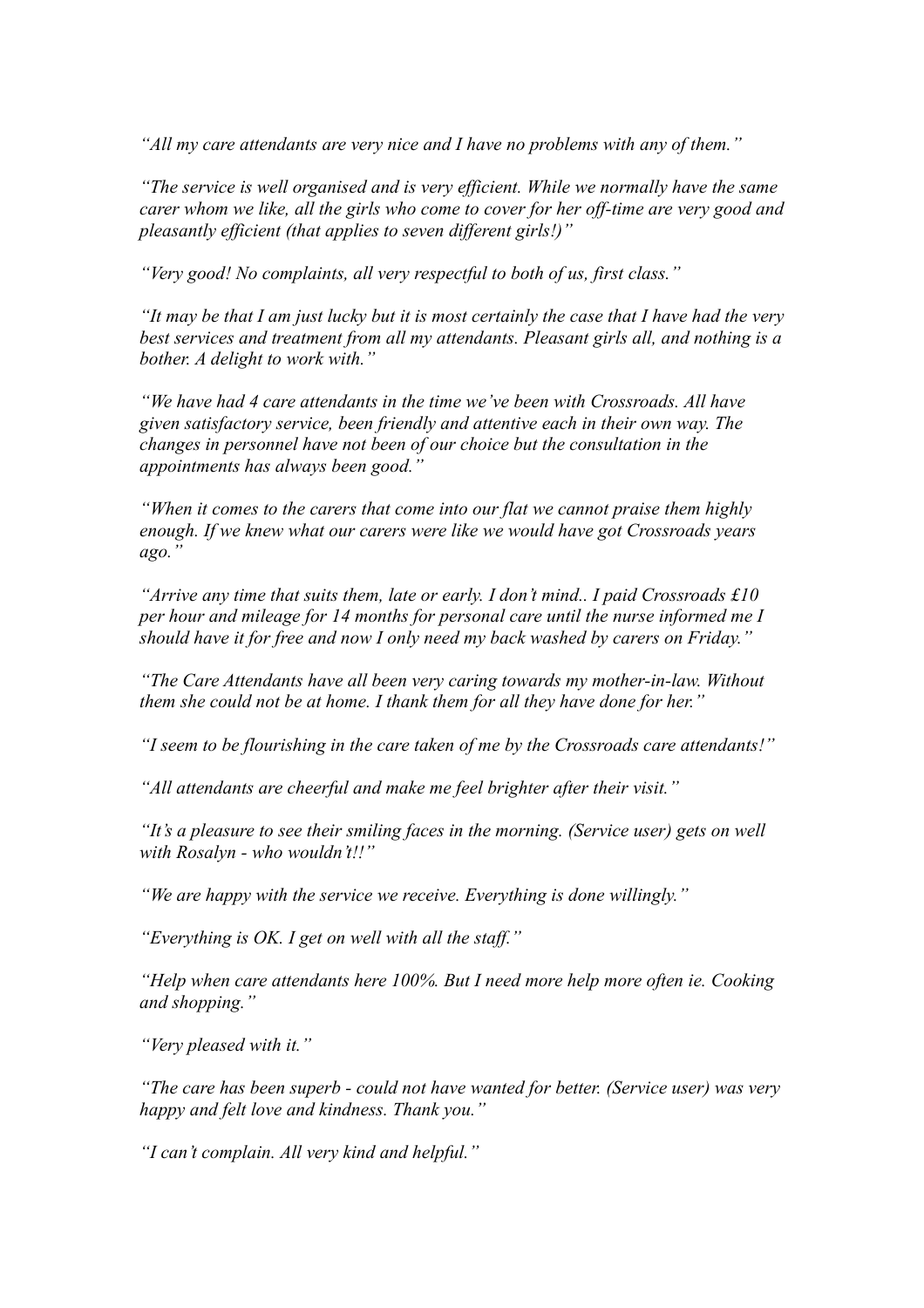*"All my care attendants are very nice and I have no problems with any of them."*

*"The service is well organised and is very efficient. While we normally have the same carer whom we like, all the girls who come to cover for her off-time are very good and pleasantly efficient (that applies to seven different girls!)"*

*"Very good! No complaints, all very respectful to both of us, first class."*

*"It may be that I am just lucky but it is most certainly the case that I have had the very best services and treatment from all my attendants. Pleasant girls all, and nothing is a bother. A delight to work with."*

*"We have had 4 care attendants in the time we've been with Crossroads. All have given satisfactory service, been friendly and attentive each in their own way. The changes in personnel have not been of our choice but the consultation in the appointments has always been good."*

*"When it comes to the carers that come into our flat we cannot praise them highly enough. If we knew what our carers were like we would have got Crossroads years ago."*

*"Arrive any time that suits them, late or early. I don't mind.. I paid Crossroads £10 per hour and mileage for 14 months for personal care until the nurse informed me I should have it for free and now I only need my back washed by carers on Friday."*

*"The Care Attendants have all been very caring towards my mother-in-law. Without them she could not be at home. I thank them for all they have done for her."*

*"I seem to be flourishing in the care taken of me by the Crossroads care attendants!"*

*"All attendants are cheerful and make me feel brighter after their visit."*

*"It's a pleasure to see their smiling faces in the morning. (Service user) gets on well with Rosalyn - who wouldn't!!"*

*"We are happy with the service we receive. Everything is done willingly."*

*"Everything is OK. I get on well with all the staff."*

*"Help when care attendants here 100%. But I need more help more often ie. Cooking and shopping."*

*"Very pleased with it."*

*"The care has been superb - could not have wanted for better. (Service user) was very happy and felt love and kindness. Thank you."*

*"I can't complain. All very kind and helpful."*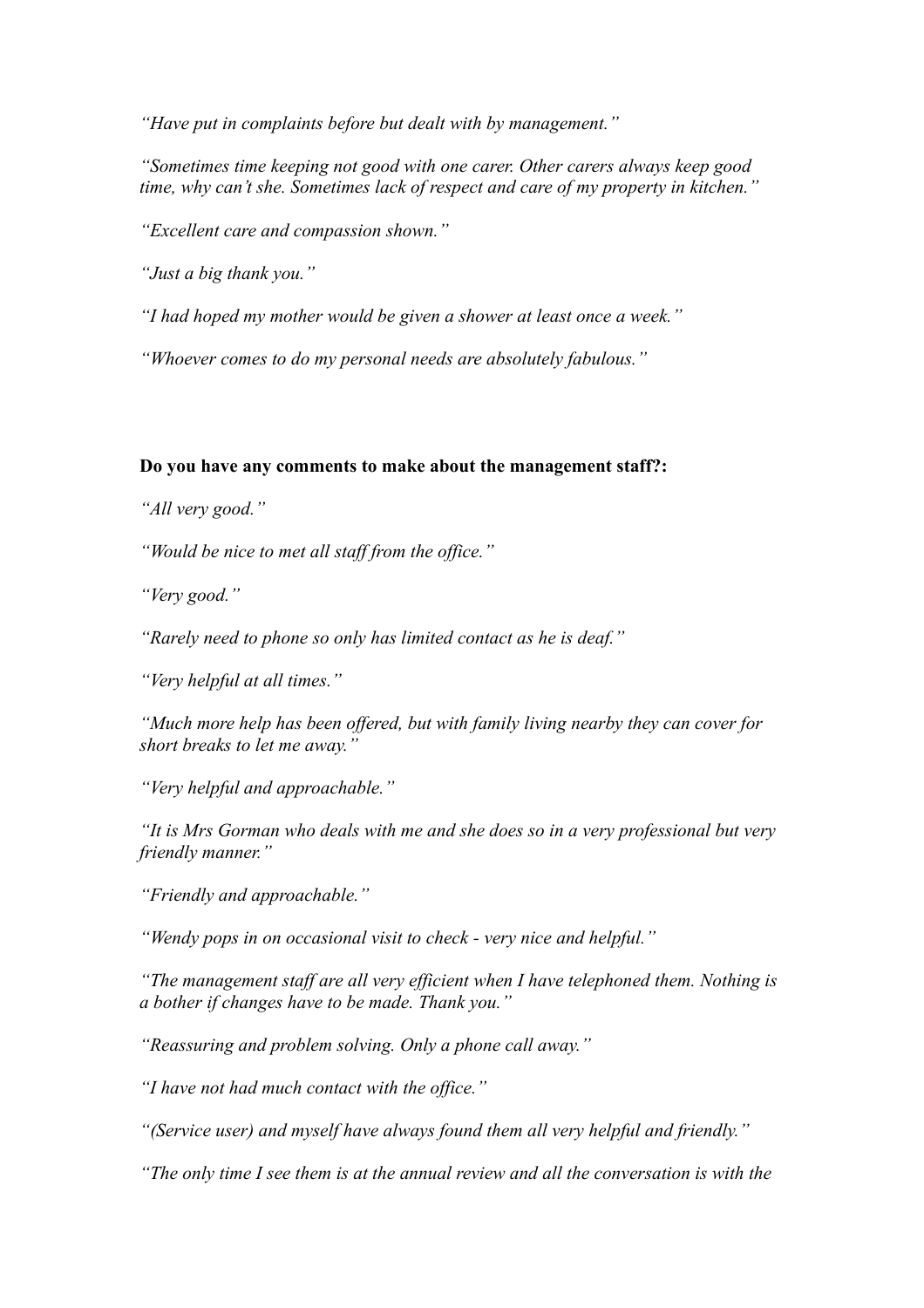*"Have put in complaints before but dealt with by management."*

*"Sometimes time keeping not good with one carer. Other carers always keep good time, why can't she. Sometimes lack of respect and care of my property in kitchen."*

*"Excellent care and compassion shown."*

*"Just a big thank you."*

*"I had hoped my mother would be given a shower at least once a week."*

*"Whoever comes to do my personal needs are absolutely fabulous."*

#### **Do you have any comments to make about the management staff?:**

*"All very good."*

*"Would be nice to met all staff from the office."*

*"Very good."*

*"Rarely need to phone so only has limited contact as he is deaf."*

*"Very helpful at all times."*

*"Much more help has been offered, but with family living nearby they can cover for short breaks to let me away."*

*"Very helpful and approachable."*

*"It is Mrs Gorman who deals with me and she does so in a very professional but very friendly manner."*

*"Friendly and approachable."*

*"Wendy pops in on occasional visit to check - very nice and helpful."*

*"The management staff are all very efficient when I have telephoned them. Nothing is a bother if changes have to be made. Thank you."*

*"Reassuring and problem solving. Only a phone call away."*

*"I have not had much contact with the office."*

*"(Service user) and myself have always found them all very helpful and friendly."*

*"The only time I see them is at the annual review and all the conversation is with the*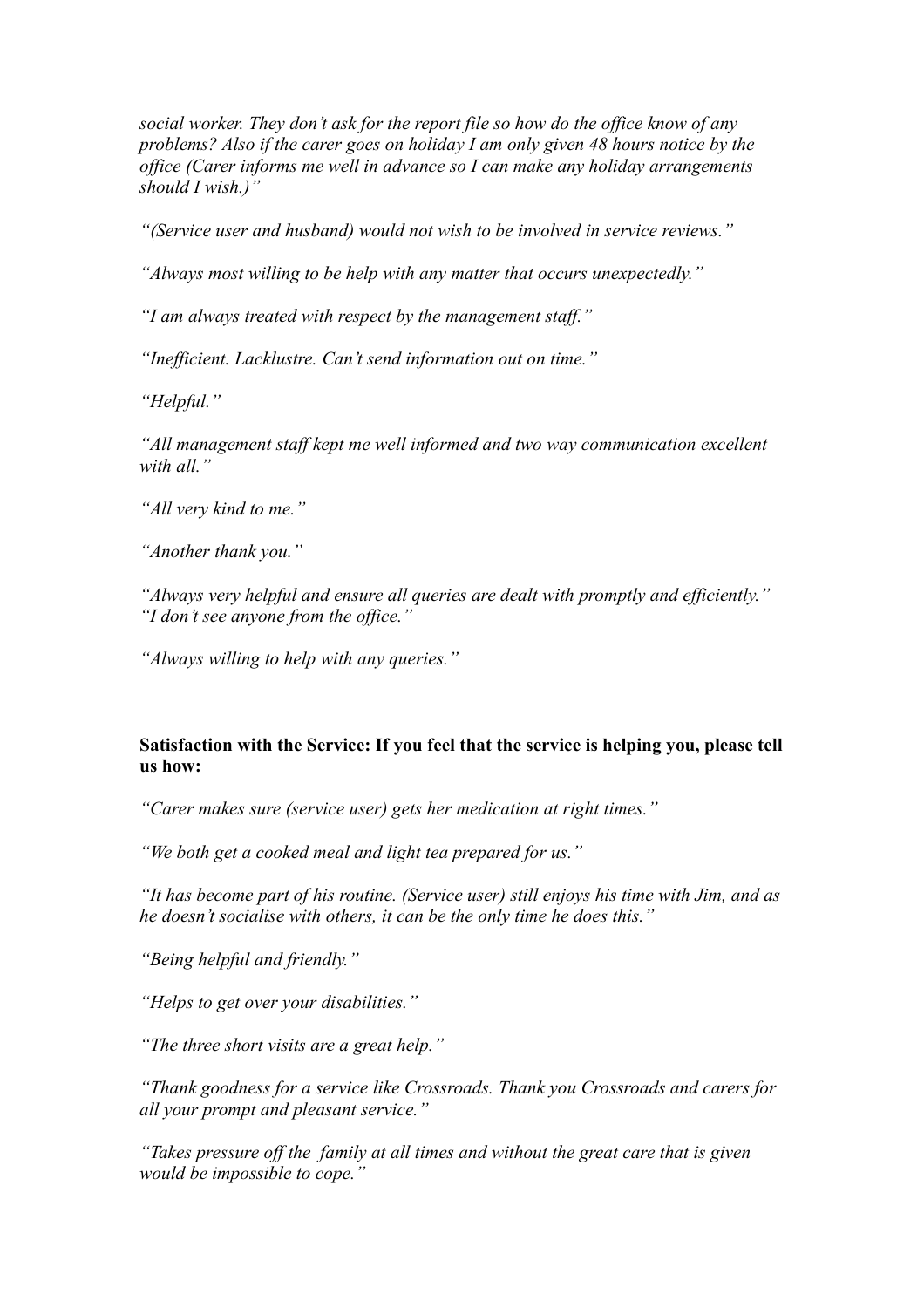*social worker. They don't ask for the report file so how do the office know of any problems? Also if the carer goes on holiday I am only given 48 hours notice by the office (Carer informs me well in advance so I can make any holiday arrangements should I wish.)"*

*"(Service user and husband) would not wish to be involved in service reviews."*

*"Always most willing to be help with any matter that occurs unexpectedly."*

*"I am always treated with respect by the management staff."*

*"Inefficient. Lacklustre. Can't send information out on time."*

*"Helpful."*

*"All management staff kept me well informed and two way communication excellent with all."*

*"All very kind to me."*

*"Another thank you."*

*"Always very helpful and ensure all queries are dealt with promptly and efficiently." "I don't see anyone from the office."*

*"Always willing to help with any queries."*

#### **Satisfaction with the Service: If you feel that the service is helping you, please tell us how:**

*"Carer makes sure (service user) gets her medication at right times."*

*"We both get a cooked meal and light tea prepared for us."*

*"It has become part of his routine. (Service user) still enjoys his time with Jim, and as he doesn't socialise with others, it can be the only time he does this."*

*"Being helpful and friendly."*

*"Helps to get over your disabilities."*

*"The three short visits are a great help."*

*"Thank goodness for a service like Crossroads. Thank you Crossroads and carers for all your prompt and pleasant service."*

*"Takes pressure off the family at all times and without the great care that is given would be impossible to cope."*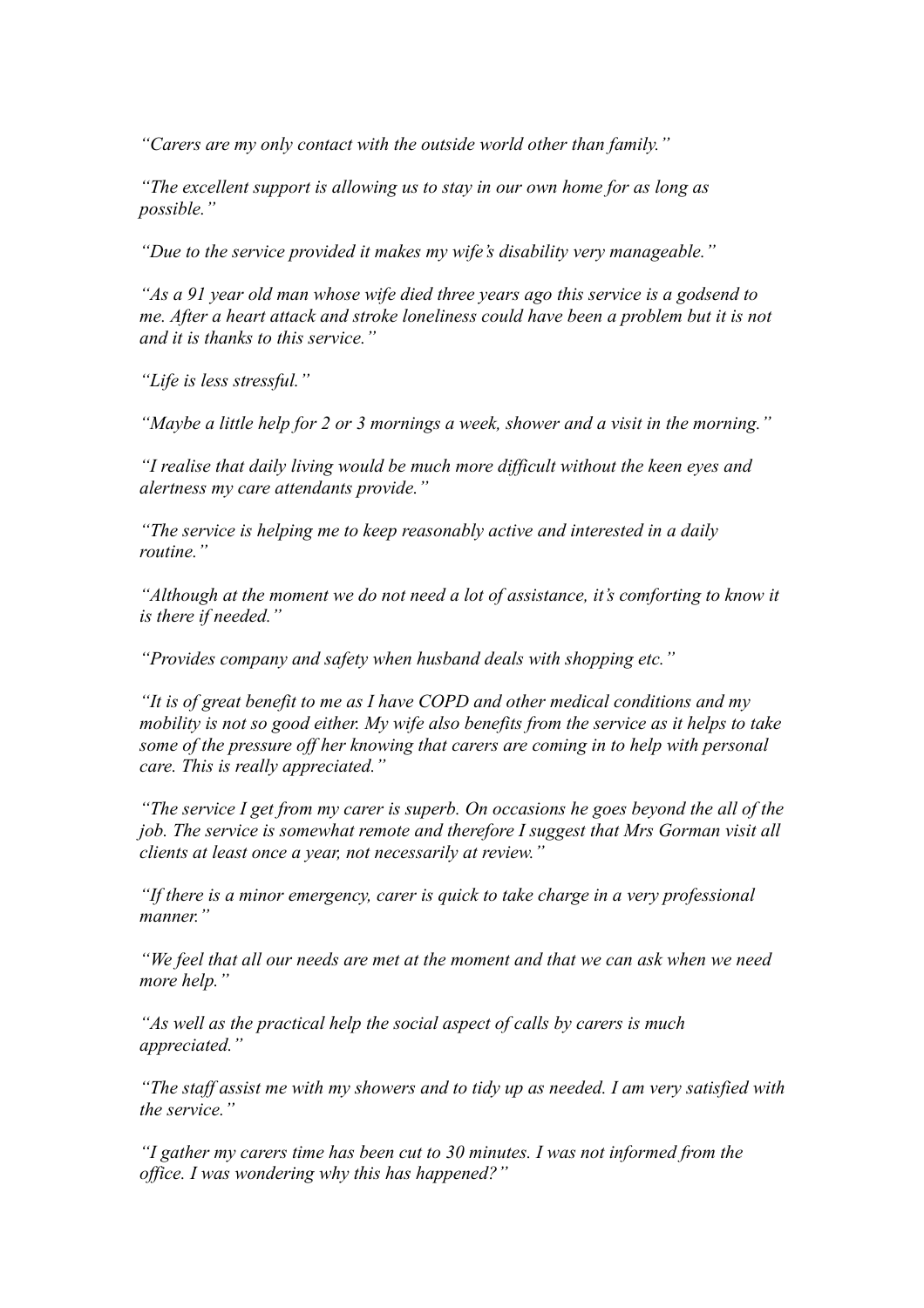*"Carers are my only contact with the outside world other than family."*

*"The excellent support is allowing us to stay in our own home for as long as possible."*

*"Due to the service provided it makes my wife's disability very manageable."*

*"As a 91 year old man whose wife died three years ago this service is a godsend to me. After a heart attack and stroke loneliness could have been a problem but it is not and it is thanks to this service."*

*"Life is less stressful."*

*"Maybe a little help for 2 or 3 mornings a week, shower and a visit in the morning."*

*"I realise that daily living would be much more difficult without the keen eyes and alertness my care attendants provide."*

*"The service is helping me to keep reasonably active and interested in a daily routine."*

*"Although at the moment we do not need a lot of assistance, it's comforting to know it is there if needed."*

*"Provides company and safety when husband deals with shopping etc."*

*"It is of great benefit to me as I have COPD and other medical conditions and my mobility is not so good either. My wife also benefits from the service as it helps to take some of the pressure off her knowing that carers are coming in to help with personal care. This is really appreciated."*

*"The service I get from my carer is superb. On occasions he goes beyond the all of the job. The service is somewhat remote and therefore I suggest that Mrs Gorman visit all clients at least once a year, not necessarily at review."*

*"If there is a minor emergency, carer is quick to take charge in a very professional manner."*

*"We feel that all our needs are met at the moment and that we can ask when we need more help."*

*"As well as the practical help the social aspect of calls by carers is much appreciated."*

*"The staff assist me with my showers and to tidy up as needed. I am very satisfied with the service."*

*"I gather my carers time has been cut to 30 minutes. I was not informed from the office. I was wondering why this has happened?"*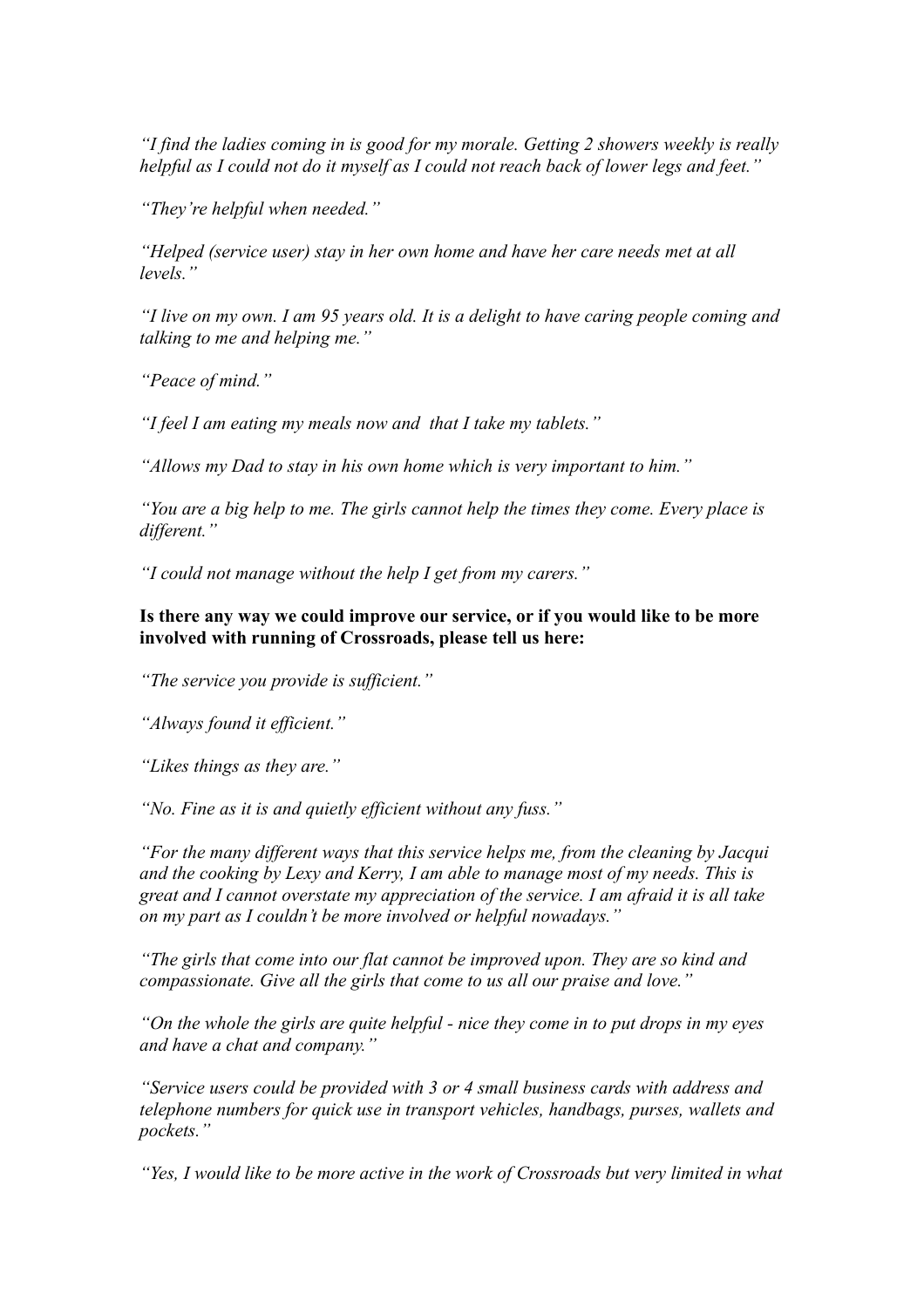*"I find the ladies coming in is good for my morale. Getting 2 showers weekly is really helpful as I could not do it myself as I could not reach back of lower legs and feet."*

*"They're helpful when needed."*

*"Helped (service user) stay in her own home and have her care needs met at all levels."*

*"I live on my own. I am 95 years old. It is a delight to have caring people coming and talking to me and helping me."*

*"Peace of mind."*

*"I feel I am eating my meals now and that I take my tablets."*

*"Allows my Dad to stay in his own home which is very important to him."*

*"You are a big help to me. The girls cannot help the times they come. Every place is different."*

*"I could not manage without the help I get from my carers."*

**Is there any way we could improve our service, or if you would like to be more involved with running of Crossroads, please tell us here:**

*"The service you provide is sufficient."*

*"Always found it efficient."*

*"Likes things as they are."*

*"No. Fine as it is and quietly efficient without any fuss."*

*"For the many different ways that this service helps me, from the cleaning by Jacqui and the cooking by Lexy and Kerry, I am able to manage most of my needs. This is great and I cannot overstate my appreciation of the service. I am afraid it is all take on my part as I couldn't be more involved or helpful nowadays."*

*"The girls that come into our flat cannot be improved upon. They are so kind and compassionate. Give all the girls that come to us all our praise and love."*

*"On the whole the girls are quite helpful - nice they come in to put drops in my eyes and have a chat and company."*

*"Service users could be provided with 3 or 4 small business cards with address and telephone numbers for quick use in transport vehicles, handbags, purses, wallets and pockets."*

*"Yes, I would like to be more active in the work of Crossroads but very limited in what*